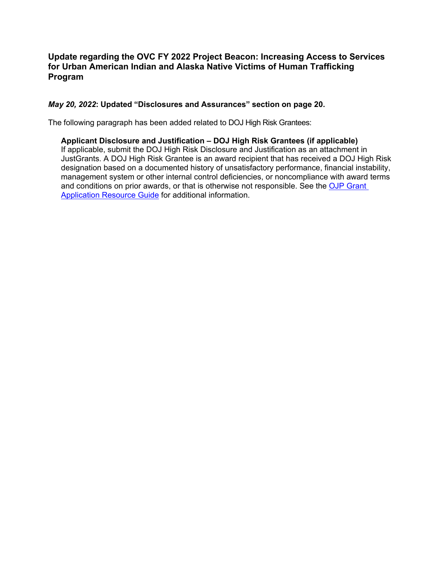# **Update regarding the OVC FY 2022 Project Beacon: Increasing Access to Services for Urban American Indian and Alaska Native Victims of Human Trafficking Program**

## *May 20, 2022***: Updated "Disclosures and Assurances" section on page 20.**

The following paragraph has been added related to DOJ High Risk Grantees:

**Applicant Disclosure and Justification – DOJ High Risk Grantees (if applicable)** If applicable, submit the DOJ High Risk Disclosure and Justification as an attachment in JustGrants. A DOJ High Risk Grantee is an award recipient that has received a DOJ High Risk designation based on a documented history of unsatisfactory performance, financial instability, management system or other internal control deficiencies, or noncompliance with award terms and conditions on prior awards, or that is otherwise not responsible. See the [OJP Grant](https://www.ojp.gov/funding/apply/ojp-grant-application-resource-guide#administrative)  [Application Resource Guide](https://www.ojp.gov/funding/apply/ojp-grant-application-resource-guide#administrative) for additional information.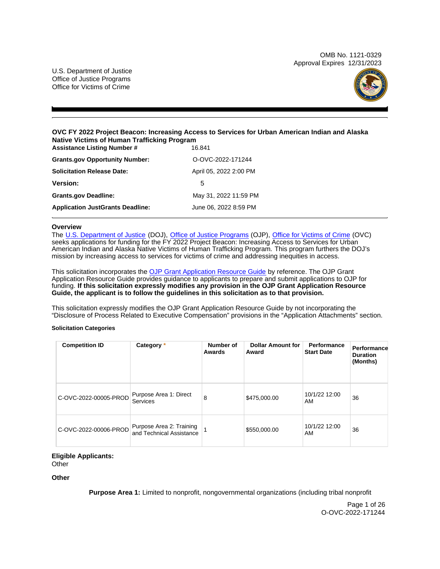OMB No. 1121-0329 Approval Expires 12/31/2023

U.S. Department of Justice Office of Justice Programs Office for Victims of Crime



## **OVC FY 2022 Project Beacon: Increasing Access to Services for Urban American Indian and Alaska Native Victims of Human Trafficking Program**

| <b>Assistance Listing Number #</b>      | 16.841                 |  |  |
|-----------------------------------------|------------------------|--|--|
| <b>Grants.gov Opportunity Number:</b>   | O-OVC-2022-171244      |  |  |
| <b>Solicitation Release Date:</b>       | April 05, 2022 2:00 PM |  |  |
| <b>Version:</b>                         | 5                      |  |  |
| <b>Grants.gov Deadline:</b>             | May 31, 2022 11:59 PM  |  |  |
| <b>Application JustGrants Deadline:</b> | June 06, 2022 8:59 PM  |  |  |

## **Overview**

The [U.S. Department of Justice](https://www.usdoj.gov/) (DOJ), [Office of Justice Programs](https://www.ojp.gov/) (OJP), [Office for Victims of Crime](https://ovc.ojp.gov/) (OVC) seeks applications for funding for the FY 2022 Project Beacon: Increasing Access to Services for Urban American Indian and Alaska Native Victims of Human Trafficking Program. This program furthers the DOJ's mission by increasing access to services for victims of crime and addressing inequities in access.

This solicitation incorporates the **OJP Grant Application Resource Guide** by reference. The OJP Grant Application Resource Guide provides guidance to applicants to prepare and submit applications to OJP for funding. **If this solicitation expressly modifies any provision in the OJP Grant Application Resource Guide, the applicant is to follow the guidelines in this solicitation as to that provision.** 

This solicitation expressly modifies the OJP Grant Application Resource Guide by not incorporating the "Disclosure of Process Related to Executive Compensation" provisions in the "Application Attachments" section.

## **Solicitation Categories**

| <b>Competition ID</b> | Category *                                           | Number of<br>Awards | <b>Dollar Amount for</b><br>Award | Performance<br><b>Start Date</b> | Performance<br><b>Duration</b><br>(Months) |
|-----------------------|------------------------------------------------------|---------------------|-----------------------------------|----------------------------------|--------------------------------------------|
| C-OVC-2022-00005-PROD | Purpose Area 1: Direct<br>Services                   | 8                   | \$475,000.00                      | 10/1/22 12:00<br>AM              | 36                                         |
| C-OVC-2022-00006-PROD | Purpose Area 2: Training<br>and Technical Assistance |                     | \$550,000.00                      | 10/1/22 12:00<br>AM              | 36                                         |

## **Eligible Applicants:**

**Other** 

**Other** 

**Purpose Area 1:** Limited to nonprofit, nongovernmental organizations (including tribal nonprofit

Page 1 of 26 O-OVC-2022-171244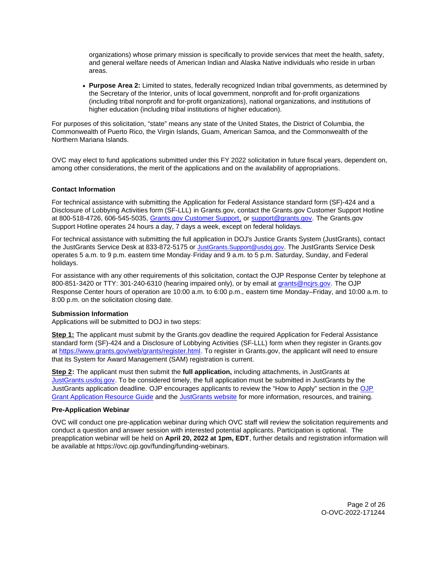<span id="page-2-0"></span>organizations) whose primary mission is specifically to provide services that meet the health, safety, and general welfare needs of American Indian and Alaska Native individuals who reside in urban areas.

**Purpose Area 2:** Limited to states, federally recognized Indian tribal governments, as determined by the Secretary of the Interior, units of local government, nonprofit and for-profit organizations (including tribal nonprofit and for-profit organizations), national organizations, and institutions of higher education (including tribal institutions of higher education).

For purposes of this solicitation, "state" means any state of the United States, the District of Columbia, the Commonwealth of Puerto Rico, the Virgin Islands, Guam, American Samoa, and the Commonwealth of the Northern Mariana Islands.

OVC may elect to fund applications submitted under this FY 2022 solicitation in future fiscal years, dependent on, among other considerations, the merit of the applications and on the availability of appropriations.

## **Contact Information**

For technical assistance with submitting the Application for Federal Assistance standard form (SF)-424 and a Disclosure of Lobbying Activities form (SF-LLL) in [Grants.gov](https://Grants.gov), contact the [Grants.gov](https://Grants.gov) Customer Support Hotline at 800-518-4726, 606-545-5035, [Grants.gov Customer Support,](https://www.grants.gov/web/grants/support.html) or [support@grants.gov.](mailto:support@grants.gov) The [Grants.gov](https://Grants.gov) Support Hotline operates 24 hours a day, 7 days a week, except on federal holidays.

For technical assistance with submitting the full application in DOJ's Justice Grants System (JustGrants), contact the JustGrants Service Desk at 833-872-5175 or [JustGrants.Support@usdoj.gov.](mailto:JustGrants.Support@usdoj.gov) The JustGrants Service Desk operates 5 a.m. to 9 p.m. eastern time Monday-Friday and 9 a.m. to 5 p.m. Saturday, Sunday, and Federal holidays.

For assistance with any other requirements of this solicitation, contact the OJP Response Center by telephone at 800-851-3420 or TTY: 301-240-6310 (hearing impaired only), or by email at [grants@ncjrs.gov.](mailto:grants@ncjrs.gov) The OJP Response Center hours of operation are 10:00 a.m. to 6:00 p.m., eastern time Monday–Friday, and 10:00 a.m. to 8:00 p.m. on the solicitation closing date.

## **Submission Information**

Applications will be submitted to DOJ in two steps:

**Step 1:** The applicant must submit by the [Grants.gov](https://Grants.gov) deadline the required Application for Federal Assistance standard form (SF)-424 and a Disclosure of Lobbying Activities (SF-LLL) form when they register in [Grants.gov](https://Grants.gov) at [https://www.grants.gov/web/grants/register.html.](https://www.grants.gov/web/grants/register.html) To register in [Grants.gov](https://Grants.gov), the applicant will need to ensure that its System for Award Management (SAM) registration is current.

**Step 2:** The applicant must then submit the **full application,** including attachments, in JustGrants at [JustGrants.usdoj.gov.](https://justicegrants.usdoj.gov/) To be considered timely, the full application must be submitted in JustGrants by the JustGrants application deadline. OJP encourages applicants to review the "How to Apply" section in the [OJP](https://www.ojp.gov/funding/apply/ojp-grant-application-resource-guide#apply)  [Grant Application Resource Guide](https://www.ojp.gov/funding/apply/ojp-grant-application-resource-guide#apply) and the [JustGrants website](https://justicegrants.usdoj.gov/news) for more information, resources, and training.

## **Pre-Application Webinar**

OVC will conduct one pre-application webinar during which OVC staff will review the solicitation requirements and conduct a question and answer session with interested potential applicants. Participation is optional. The preapplication webinar will be held on **April 20, 2022 at 1pm, EDT**, further details and registration information will be available at [https://ovc.ojp.gov/funding/funding-webinars.](https://ovc.ojp.gov/funding/funding-webinars)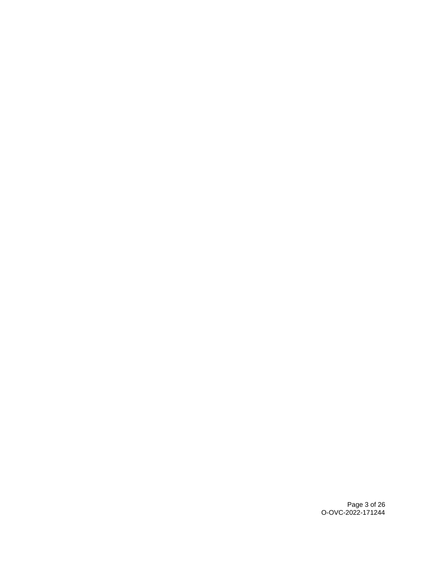Page 3 of 26 O-OVC-2022-171244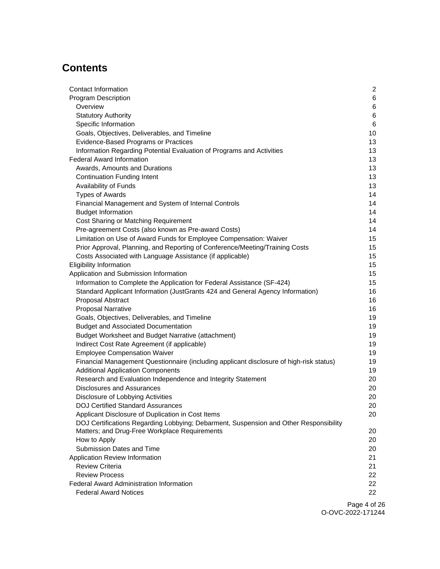# **Contents**

| Contact Information                                                                     | $\overline{2}$ |
|-----------------------------------------------------------------------------------------|----------------|
| Program Description                                                                     | 6              |
| Overview                                                                                | 6              |
| <b>Statutory Authority</b>                                                              | 6              |
| Specific Information                                                                    | 6              |
| Goals, Objectives, Deliverables, and Timeline                                           | 10             |
| Evidence-Based Programs or Practices                                                    | 13             |
| Information Regarding Potential Evaluation of Programs and Activities                   | 13             |
| <b>Federal Award Information</b>                                                        | 13             |
| Awards, Amounts and Durations                                                           | 13             |
| <b>Continuation Funding Intent</b>                                                      | 13             |
| Availability of Funds                                                                   | 13             |
| <b>Types of Awards</b>                                                                  | 14             |
| Financial Management and System of Internal Controls                                    | 14             |
| <b>Budget Information</b>                                                               | 14             |
| Cost Sharing or Matching Requirement                                                    | 14             |
| Pre-agreement Costs (also known as Pre-award Costs)                                     | 14             |
| Limitation on Use of Award Funds for Employee Compensation: Waiver                      | 15             |
| Prior Approval, Planning, and Reporting of Conference/Meeting/Training Costs            | 15             |
| Costs Associated with Language Assistance (if applicable)                               | 15             |
| <b>Eligibility Information</b>                                                          | 15             |
| Application and Submission Information                                                  | 15             |
| Information to Complete the Application for Federal Assistance (SF-424)                 | 15             |
| Standard Applicant Information (JustGrants 424 and General Agency Information)          | 16             |
| Proposal Abstract                                                                       | 16             |
| <b>Proposal Narrative</b>                                                               | 16             |
| Goals, Objectives, Deliverables, and Timeline                                           | 19             |
| <b>Budget and Associated Documentation</b>                                              | 19             |
| Budget Worksheet and Budget Narrative (attachment)                                      | 19             |
| Indirect Cost Rate Agreement (if applicable)                                            | 19             |
| <b>Employee Compensation Waiver</b>                                                     | 19             |
| Financial Management Questionnaire (including applicant disclosure of high-risk status) | 19             |
| <b>Additional Application Components</b>                                                | 19             |
| Research and Evaluation Independence and Integrity Statement                            | 20             |
| <b>Disclosures and Assurances</b>                                                       | 20             |
| Disclosure of Lobbying Activities                                                       | 20             |
| DOJ Certified Standard Assurances                                                       | 20             |
| Applicant Disclosure of Duplication in Cost Items                                       | 20             |
| DOJ Certifications Regarding Lobbying; Debarment, Suspension and Other Responsibility   |                |
| Matters; and Drug-Free Workplace Requirements                                           | 20             |
| How to Apply                                                                            | 20             |
| Submission Dates and Time                                                               | 20             |
| Application Review Information                                                          | 21             |
| <b>Review Criteria</b>                                                                  | 21             |
| <b>Review Process</b>                                                                   | 22             |
| <b>Federal Award Administration Information</b>                                         | 22             |
| <b>Federal Award Notices</b>                                                            | 22             |
|                                                                                         |                |

Page 4 of 26 O-OVC-2022-171244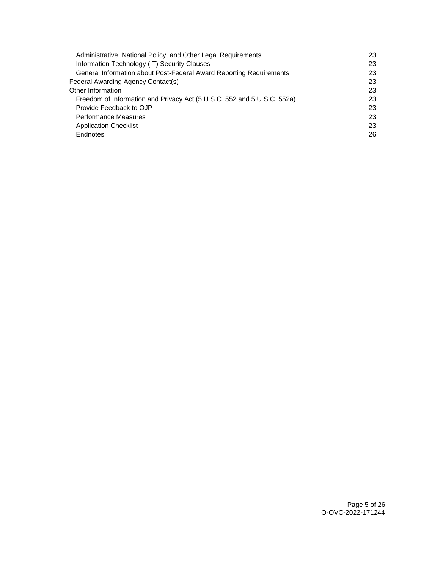| Administrative, National Policy, and Other Legal Requirements           | 23 |
|-------------------------------------------------------------------------|----|
| Information Technology (IT) Security Clauses                            | 23 |
| General Information about Post-Federal Award Reporting Requirements     | 23 |
| Federal Awarding Agency Contact(s)                                      | 23 |
| Other Information                                                       | 23 |
| Freedom of Information and Privacy Act (5 U.S.C. 552 and 5 U.S.C. 552a) | 23 |
| Provide Feedback to OJP                                                 | 23 |
| Performance Measures                                                    | 23 |
| <b>Application Checklist</b>                                            | 23 |
| Endnotes                                                                | 26 |
|                                                                         |    |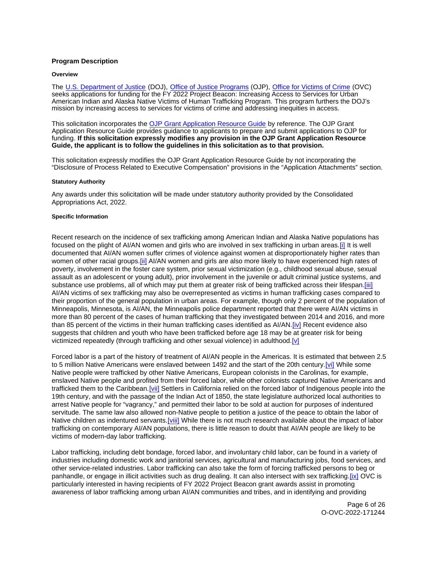## <span id="page-6-0"></span>**Program Description**

#### **Overview**

The [U.S. Department of Justice](https://www.usdoj.gov/) (DOJ), [Office of Justice Programs](https://www.ojp.gov/) (OJP), [Office for Victims of Crime](https://ovc.ojp.gov/) (OVC) seeks applications for funding for the FY 2022 Project Beacon: Increasing Access to Services for Urban American Indian and Alaska Native Victims of Human Trafficking Program. This program furthers the DOJ's mission by increasing access to services for victims of crime and addressing inequities in access.

This solicitation incorporates the [OJP Grant Application Resource Guide](https://www.ojp.gov/funding/Apply/Resources/Grant-App-Resource-Guide.htm) by reference. The OJP Grant Application Resource Guide provides guidance to applicants to prepare and submit applications to OJP for funding. **If this solicitation expressly modifies any provision in the OJP Grant Application Resource Guide, the applicant is to follow the guidelines in this solicitation as to that provision.** 

This solicitation expressly modifies the OJP Grant Application Resource Guide by not incorporating the "Disclosure of Process Related to Executive Compensation" provisions in the "Application Attachments" section.

#### **Statutory Authority**

Any awards under this solicitation will be made under statutory authority provided by the Consolidated Appropriations Act, 2022.

#### **Specific Information**

Recent research on the incidence of sex trafficking among American Indian and Alaska Native populations has focused on the plight of AI/AN women and girls who are involved in sex trafficking in urban areas.[\[i\]](#_edn1) It is well documented that AI/AN women suffer crimes of violence against women at disproportionately higher rates than women of other racial groups.[\[ii\]](#_edn2) AI/AN women and girls are also more likely to have experienced high rates of poverty, involvement in the foster care system, prior sexual victimization (e.g., childhood sexual abuse, sexual assault as an adolescent or young adult), prior involvement in the juvenile or adult criminal justice systems, and substance use problems, all of which may put them at greater risk of being trafficked across their lifespan.[iii] AI/AN victims of sex trafficking may also be overrepresented as victims in human trafficking cases compared to their proportion of the general population in urban areas. For example, though only 2 percent of the population of Minneapolis, Minnesota, is AI/AN, the Minneapolis police department reported that there were AI/AN victims in more than 80 percent of the cases of human trafficking that they investigated between 2014 and 2016, and more than 85 percent of the victims in their human trafficking cases identified as AI/AN.[\[iv\]](#_edn4) Recent evidence also suggests that children and youth who have been trafficked before age 18 may be at greater risk for being victimized repeatedly (through trafficking and other sexual violence) in adulthood.[v]

Forced labor is a part of the history of treatment of AI/AN people in the Americas. It is estimated that between 2.5 to 5 million Native Americans were enslaved between 1492 and the start of the 20th century.[\[vi\]](#_edn6) While some Native people were trafficked by other Native Americans, European colonists in the Carolinas, for example, enslaved Native people and profited from their forced labor, while other colonists captured Native Americans and trafficked them to the Caribbean.[\[vii\]](#_edn7) Settlers in California relied on the forced labor of Indigenous people into the 19th century, and with the passage of the Indian Act of 1850, the state legislature authorized local authorities to arrest Native people for "vagrancy," and permitted their labor to be sold at auction for purposes of indentured servitude. The same law also allowed non-Native people to petition a justice of the peace to obtain the labor of Native children as indentured servants[.\[viii\]](#_edn8) While there is not much research available about the impact of labor trafficking on contemporary AI/AN populations, there is little reason to doubt that AI/AN people are likely to be victims of modern-day labor trafficking.

Labor trafficking, including debt bondage, forced labor, and involuntary child labor, can be found in a variety of industries including domestic work and janitorial services, agricultural and manufacturing jobs, food services, and other service-related industries. Labor trafficking can also take the form of forcing trafficked persons to beg or panhandle, or engage in illicit activities such as drug dealing. It can also intersect with sex trafficking.[\[ix\]](#_edn9) OVC is particularly interested in having recipients of FY 2022 Project Beacon grant awards assist in promoting awareness of labor trafficking among urban AI/AN communities and tribes, and in identifying and providing

> Page 6 of 26 O-OVC-2022-171244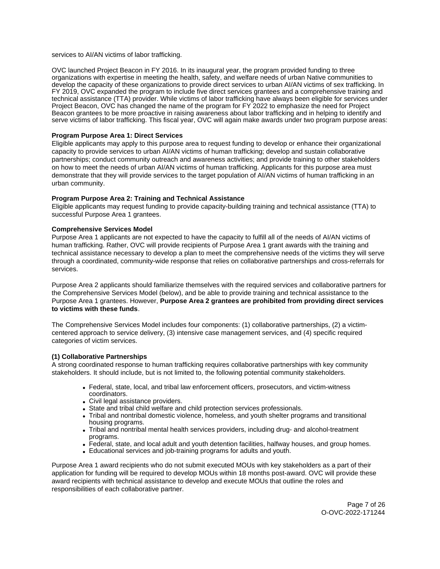services to AI/AN victims of labor trafficking.

OVC launched Project Beacon in FY 2016. In its inaugural year, the program provided funding to three organizations with expertise in meeting the health, safety, and welfare needs of urban Native communities to develop the capacity of these organizations to provide direct services to urban AI/AN victims of sex trafficking. In FY 2019, OVC expanded the program to include five direct services grantees and a comprehensive training and technical assistance (TTA) provider. While victims of labor trafficking have always been eligible for services under Project Beacon, OVC has changed the name of the program for FY 2022 to emphasize the need for Project Beacon grantees to be more proactive in raising awareness about labor trafficking and in helping to identify and serve victims of labor trafficking. This fiscal year, OVC will again make awards under two program purpose areas:

## **Program Purpose Area 1: Direct Services**

Eligible applicants may apply to this purpose area to request funding to develop or enhance their organizational capacity to provide services to urban AI/AN victims of human trafficking; develop and sustain collaborative partnerships; conduct community outreach and awareness activities; and provide training to other stakeholders on how to meet the needs of urban AI/AN victims of human trafficking. Applicants for this purpose area must demonstrate that they will provide services to the target population of AI/AN victims of human trafficking in an urban community.

## **Program Purpose Area 2: Training and Technical Assistance**

Eligible applicants may request funding to provide capacity-building training and technical assistance (TTA) to successful Purpose Area 1 grantees.

## **Comprehensive Services Model**

Purpose Area 1 applicants are not expected to have the capacity to fulfill all of the needs of AI/AN victims of human trafficking. Rather, OVC will provide recipients of Purpose Area 1 grant awards with the training and technical assistance necessary to develop a plan to meet the comprehensive needs of the victims they will serve through a coordinated, community-wide response that relies on collaborative partnerships and cross-referrals for services.

Purpose Area 2 applicants should familiarize themselves with the required services and collaborative partners for the Comprehensive Services Model (below), and be able to provide training and technical assistance to the Purpose Area 1 grantees. However, **Purpose Area 2 grantees are prohibited from providing direct services to victims with these funds**.

The Comprehensive Services Model includes four components: (1) collaborative partnerships, (2) a victimcentered approach to service delivery, (3) intensive case management services, and (4) specific required categories of victim services.

## **(1) Collaborative Partnerships**

A strong coordinated response to human trafficking requires collaborative partnerships with key community stakeholders. It should include, but is not limited to, the following potential community stakeholders.

- Federal, state, local, and tribal law enforcement officers, prosecutors, and victim-witness coordinators.
- Civil legal assistance providers.
- State and tribal child welfare and child protection services professionals.
- Tribal and nontribal domestic violence, homeless, and youth shelter programs and transitional housing programs.
- Tribal and nontribal mental health services providers, including drug- and alcohol-treatment programs.
- Federal, state, and local adult and youth detention facilities, halfway houses, and group homes.
- Educational services and job-training programs for adults and youth.

Purpose Area 1 award recipients who do not submit executed MOUs with key stakeholders as a part of their application for funding will be required to develop MOUs within 18 months post-award. OVC will provide these award recipients with technical assistance to develop and execute MOUs that outline the roles and responsibilities of each collaborative partner.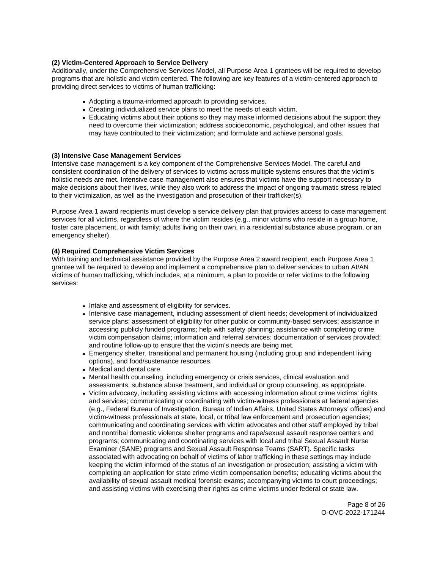## **(2) Victim-Centered Approach to Service Delivery**

Additionally, under the Comprehensive Services Model, all Purpose Area 1 grantees will be required to develop programs that are holistic and victim centered. The following are key features of a victim-centered approach to providing direct services to victims of human trafficking:

- Adopting a trauma-informed approach to providing services.
- Creating individualized service plans to meet the needs of each victim.
- Educating victims about their options so they may make informed decisions about the support they need to overcome their victimization; address socioeconomic, psychological, and other issues that may have contributed to their victimization; and formulate and achieve personal goals.

## **(3) Intensive Case Management Services**

Intensive case management is a key component of the Comprehensive Services Model. The careful and consistent coordination of the delivery of services to victims across multiple systems ensures that the victim's holistic needs are met. Intensive case management also ensures that victims have the support necessary to make decisions about their lives, while they also work to address the impact of ongoing traumatic stress related to their victimization, as well as the investigation and prosecution of their trafficker(s).

Purpose Area 1 award recipients must develop a service delivery plan that provides access to case management services for all victims, regardless of where the victim resides (e.g., minor victims who reside in a group home, foster care placement, or with family; adults living on their own, in a residential substance abuse program, or an emergency shelter).

## **(4) Required Comprehensive Victim Services**

With training and technical assistance provided by the Purpose Area 2 award recipient, each Purpose Area 1 grantee will be required to develop and implement a comprehensive plan to deliver services to urban AI/AN victims of human trafficking, which includes, at a minimum, a plan to provide or refer victims to the following services:

- Intake and assessment of eligibility for services.
- Intensive case management, including assessment of client needs; development of individualized service plans; assessment of eligibility for other public or community-based services; assistance in accessing publicly funded programs; help with safety planning; assistance with completing crime victim compensation claims; information and referral services; documentation of services provided; and routine follow-up to ensure that the victim's needs are being met.
- Emergency shelter, transitional and permanent housing (including group and independent living options), and food/sustenance resources.
- Medical and dental care.
- Mental health counseling, including emergency or crisis services, clinical evaluation and assessments, substance abuse treatment, and individual or group counseling, as appropriate.
- Victim advocacy, including assisting victims with accessing information about crime victims' rights and services; communicating or coordinating with victim-witness professionals at federal agencies (e.g., Federal Bureau of Investigation, Bureau of Indian Affairs, United States Attorneys' offices) and victim-witness professionals at state, local, or tribal law enforcement and prosecution agencies; communicating and coordinating services with victim advocates and other staff employed by tribal and nontribal domestic violence shelter programs and rape/sexual assault response centers and programs; communicating and coordinating services with local and tribal Sexual Assault Nurse Examiner (SANE) programs and Sexual Assault Response Teams (SART). Specific tasks associated with advocating on behalf of victims of labor trafficking in these settings may include keeping the victim informed of the status of an investigation or prosecution; assisting a victim with completing an application for state crime victim compensation benefits; educating victims about the availability of sexual assault medical forensic exams; accompanying victims to court proceedings; and assisting victims with exercising their rights as crime victims under federal or state law.

Page 8 of 26 O-OVC-2022-171244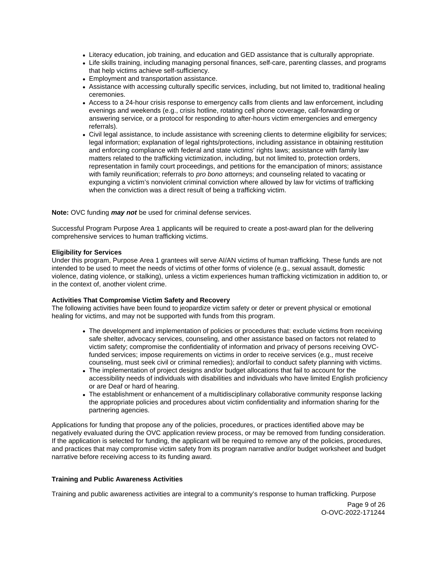- Literacy education, job training, and education and GED assistance that is culturally appropriate.
- Life skills training, including managing personal finances, self-care, parenting classes, and programs that help victims achieve self-sufficiency.
- Employment and transportation assistance.
- Assistance with accessing culturally specific services, including, but not limited to, traditional healing ceremonies.
- Access to a 24-hour crisis response to emergency calls from clients and law enforcement, including evenings and weekends (e.g., crisis hotline, rotating cell phone coverage, call-forwarding or answering service, or a protocol for responding to after-hours victim emergencies and emergency referrals).
- Civil legal assistance, to include assistance with screening clients to determine eligibility for services; legal information; explanation of legal rights/protections, including assistance in obtaining restitution and enforcing compliance with federal and state victims' rights laws; assistance with family law matters related to the trafficking victimization, including, but not limited to, protection orders, representation in family court proceedings, and petitions for the emancipation of minors; assistance with family reunification; referrals to pro bono attorneys; and counseling related to vacating or expunging a victim's nonviolent criminal conviction where allowed by law for victims of trafficking when the conviction was a direct result of being a trafficking victim.

**Note:** OVC funding **may not** be used for criminal defense services.

Successful Program Purpose Area 1 applicants will be required to create a post-award plan for the delivering comprehensive services to human trafficking victims.

#### **Eligibility for Services**

Under this program, Purpose Area 1 grantees will serve AI/AN victims of human trafficking. These funds are not intended to be used to meet the needs of victims of other forms of violence (e.g., sexual assault, domestic violence, dating violence, or stalking), unless a victim experiences human trafficking victimization in addition to, or in the context of, another violent crime.

## **Activities That Compromise Victim Safety and Recovery**

The following activities have been found to jeopardize victim safety or deter or prevent physical or emotional healing for victims, and may not be supported with funds from this program.

- The development and implementation of policies or procedures that: exclude victims from receiving safe shelter, advocacy services, counseling, and other assistance based on factors not related to victim safety; compromise the confidentiality of information and privacy of persons receiving OVCfunded services; impose requirements on victims in order to receive services (e.g., must receive counseling, must seek civil or criminal remedies); and/orfail to conduct safety planning with victims.
- The implementation of project designs and/or budget allocations that fail to account for the accessibility needs of individuals with disabilities and individuals who have limited English proficiency or are Deaf or hard of hearing.
- The establishment or enhancement of a multidisciplinary collaborative community response lacking the appropriate policies and procedures about victim confidentiality and information sharing for the partnering agencies.

Applications for funding that propose any of the policies, procedures, or practices identified above may be negatively evaluated during the OVC application review process, or may be removed from funding consideration. If the application is selected for funding, the applicant will be required to remove any of the policies, procedures, and practices that may compromise victim safety from its program narrative and/or budget worksheet and budget narrative before receiving access to its funding award.

## **Training and Public Awareness Activities**

Training and public awareness activities are integral to a community's response to human trafficking. Purpose

Page 9 of 26 O-OVC-2022-171244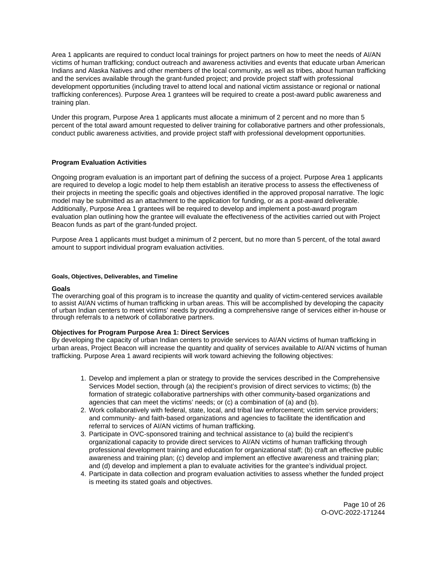<span id="page-10-0"></span>Area 1 applicants are required to conduct local trainings for project partners on how to meet the needs of AI/AN victims of human trafficking; conduct outreach and awareness activities and events that educate urban American Indians and Alaska Natives and other members of the local community, as well as tribes, about human trafficking and the services available through the grant-funded project; and provide project staff with professional development opportunities (including travel to attend local and national victim assistance or regional or national trafficking conferences). Purpose Area 1 grantees will be required to create a post-award public awareness and training plan.

Under this program, Purpose Area 1 applicants must allocate a minimum of 2 percent and no more than 5 percent of the total award amount requested to deliver training for collaborative partners and other professionals, conduct public awareness activities, and provide project staff with professional development opportunities.

## **Program Evaluation Activities**

Ongoing program evaluation is an important part of defining the success of a project. Purpose Area 1 applicants are required to develop a logic model to help them establish an iterative process to assess the effectiveness of their projects in meeting the specific goals and objectives identified in the approved proposal narrative. The logic model may be submitted as an attachment to the application for funding, or as a post-award deliverable. Additionally, Purpose Area 1 grantees will be required to develop and implement a post-award program evaluation plan outlining how the grantee will evaluate the effectiveness of the activities carried out with Project Beacon funds as part of the grant-funded project.

Purpose Area 1 applicants must budget a minimum of 2 percent, but no more than 5 percent, of the total award amount to support individual program evaluation activities.

## **Goals, Objectives, Deliverables, and Timeline**

## **Goals**

The overarching goal of this program is to increase the quantity and quality of victim-centered services available to assist AI/AN victims of human trafficking in urban areas. This will be accomplished by developing the capacity of urban Indian centers to meet victims' needs by providing a comprehensive range of services either in-house or through referrals to a network of collaborative partners.

## **Objectives for Program Purpose Area 1: Direct Services**

By developing the capacity of urban Indian centers to provide services to AI/AN victims of human trafficking in urban areas, Project Beacon will increase the quantity and quality of services available to AI/AN victims of human trafficking. Purpose Area 1 award recipients will work toward achieving the following objectives:

- 1. Develop and implement a plan or strategy to provide the services described in the Comprehensive Services Model section, through (a) the recipient's provision of direct services to victims; (b) the formation of strategic collaborative partnerships with other community-based organizations and agencies that can meet the victims' needs; or (c) a combination of (a) and (b).
- 2. Work collaboratively with federal, state, local, and tribal law enforcement; victim service providers; and community- and faith-based organizations and agencies to facilitate the identification and referral to services of AI/AN victims of human trafficking.
- 3. Participate in OVC-sponsored training and technical assistance to (a) build the recipient's organizational capacity to provide direct services to AI/AN victims of human trafficking through professional development training and education for organizational staff; (b) craft an effective public awareness and training plan; (c) develop and implement an effective awareness and training plan; and (d) develop and implement a plan to evaluate activities for the grantee's individual project.
- 4. Participate in data collection and program evaluation activities to assess whether the funded project is meeting its stated goals and objectives.

Page 10 of 26 O-OVC-2022-171244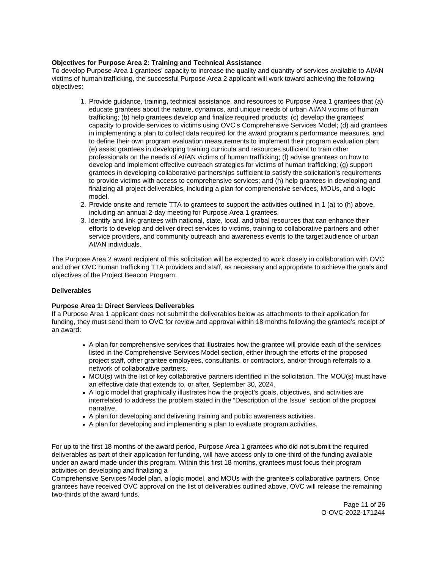## **Objectives for Purpose Area 2: Training and Technical Assistance**

To develop Purpose Area 1 grantees' capacity to increase the quality and quantity of services available to AI/AN victims of human trafficking, the successful Purpose Area 2 applicant will work toward achieving the following objectives:

- 1. Provide guidance, training, technical assistance, and resources to Purpose Area 1 grantees that (a) educate grantees about the nature, dynamics, and unique needs of urban AI/AN victims of human trafficking; (b) help grantees develop and finalize required products; (c) develop the grantees' capacity to provide services to victims using OVC's Comprehensive Services Model; (d) aid grantees in implementing a plan to collect data required for the award program's performance measures, and to define their own program evaluation measurements to implement their program evaluation plan; (e) assist grantees in developing training curricula and resources sufficient to train other professionals on the needs of AI/AN victims of human trafficking; (f) advise grantees on how to develop and implement effective outreach strategies for victims of human trafficking; (g) support grantees in developing collaborative partnerships sufficient to satisfy the solicitation's requirements to provide victims with access to comprehensive services; and (h) help grantees in developing and finalizing all project deliverables, including a plan for comprehensive services, MOUs, and a logic model.
- 2. Provide onsite and remote TTA to grantees to support the activities outlined in 1 (a) to (h) above, including an annual 2-day meeting for Purpose Area 1 grantees.
- 3. Identify and link grantees with national, state, local, and tribal resources that can enhance their efforts to develop and deliver direct services to victims, training to collaborative partners and other service providers, and community outreach and awareness events to the target audience of urban AI/AN individuals.

The Purpose Area 2 award recipient of this solicitation will be expected to work closely in collaboration with OVC and other OVC human trafficking TTA providers and staff, as necessary and appropriate to achieve the goals and objectives of the Project Beacon Program.

## **Deliverables**

## **Purpose Area 1: Direct Services Deliverables**

If a Purpose Area 1 applicant does not submit the deliverables below as attachments to their application for funding, they must send them to OVC for review and approval within 18 months following the grantee's receipt of an award:

- A plan for comprehensive services that illustrates how the grantee will provide each of the services listed in the Comprehensive Services Model section, either through the efforts of the proposed project staff, other grantee employees, consultants, or contractors, and/or through referrals to a network of collaborative partners.
- MOU(s) with the list of key collaborative partners identified in the solicitation. The MOU(s) must have an effective date that extends to, or after, September 30, 2024.
- A logic model that graphically illustrates how the project's goals, objectives, and activities are interrelated to address the problem stated in the "Description of the Issue" section of the proposal narrative.
- A plan for developing and delivering training and public awareness activities.
- A plan for developing and implementing a plan to evaluate program activities.

For up to the first 18 months of the award period, Purpose Area 1 grantees who did not submit the required deliverables as part of their application for funding, will have access only to one-third of the funding available under an award made under this program. Within this first 18 months, grantees must focus their program activities on developing and finalizing a

Comprehensive Services Model plan, a logic model, and MOUs with the grantee's collaborative partners. Once grantees have received OVC approval on the list of deliverables outlined above, OVC will release the remaining two-thirds of the award funds.

> Page 11 of 26 O-OVC-2022-171244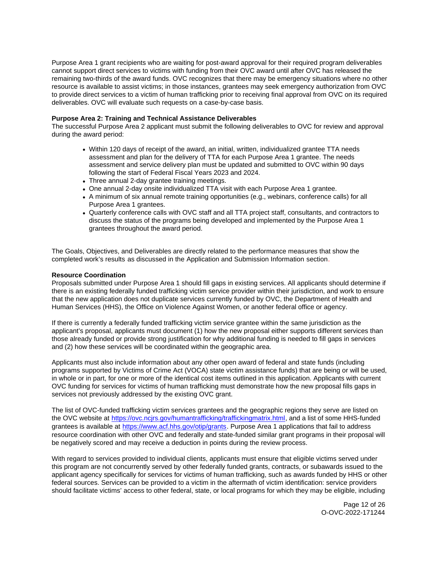Purpose Area 1 grant recipients who are waiting for post-award approval for their required program deliverables cannot support direct services to victims with funding from their OVC award until after OVC has released the remaining two-thirds of the award funds. OVC recognizes that there may be emergency situations where no other resource is available to assist victims; in those instances, grantees may seek emergency authorization from OVC to provide direct services to a victim of human trafficking prior to receiving final approval from OVC on its required deliverables. OVC will evaluate such requests on a case-by-case basis.

## **Purpose Area 2: Training and Technical Assistance Deliverables**

The successful Purpose Area 2 applicant must submit the following deliverables to OVC for review and approval during the award period:

- Within 120 days of receipt of the award, an initial, written, individualized grantee TTA needs assessment and plan for the delivery of TTA for each Purpose Area 1 grantee. The needs assessment and service delivery plan must be updated and submitted to OVC within 90 days following the start of Federal Fiscal Years 2023 and 2024.
- Three annual 2-day grantee training meetings.
- One annual 2-day onsite individualized TTA visit with each Purpose Area 1 grantee.
- A minimum of six annual remote training opportunities (e.g., webinars, conference calls) for all Purpose Area 1 grantees.
- Quarterly conference calls with OVC staff and all TTA project staff, consultants, and contractors to discuss the status of the programs being developed and implemented by the Purpose Area 1 grantees throughout the award period.

The Goals, Objectives, and Deliverables are directly related to the performance measures that show the completed work's results as discussed in the Application and Submission Information section.

#### **Resource Coordination**

Proposals submitted under Purpose Area 1 should fill gaps in existing services. All applicants should determine if there is an existing federally funded trafficking victim service provider within their jurisdiction, and work to ensure that the new application does not duplicate services currently funded by OVC, the Department of Health and Human Services (HHS), the Office on Violence Against Women, or another federal office or agency.

If there is currently a federally funded trafficking victim service grantee within the same jurisdiction as the applicant's proposal, applicants must document (1) how the new proposal either supports different services than those already funded or provide strong justification for why additional funding is needed to fill gaps in services and (2) how these services will be coordinated within the geographic area.

Applicants must also include information about any other open award of federal and state funds (including programs supported by Victims of Crime Act (VOCA) state victim assistance funds) that are being or will be used, in whole or in part, for one or more of the identical cost items outlined in this application. Applicants with current OVC funding for services for victims of human trafficking must demonstrate how the new proposal fills gaps in services not previously addressed by the existing OVC grant.

The list of OVC-funded trafficking victim services grantees and the geographic regions they serve are listed on the OVC website at [https://ovc.ncjrs.gov/humantrafficking/traffickingmatrix.html,](https://ovc.ncjrs.gov/humantrafficking/traffickingmatrix.html) and a list of some HHS-funded grantees is available at [https://www.acf.hhs.gov/otip/grants.](https://www.acf.hhs.gov/otip/grants) Purpose Area 1 applications that fail to address resource coordination with other OVC and federally and state-funded similar grant programs in their proposal will be negatively scored and may receive a deduction in points during the review process.

With regard to services provided to individual clients, applicants must ensure that eligible victims served under this program are not concurrently served by other federally funded grants, contracts, or subawards issued to the applicant agency specifically for services for victims of human trafficking, such as awards funded by HHS or other federal sources. Services can be provided to a victim in the aftermath of victim identification: service providers should facilitate victims' access to other federal, state, or local programs for which they may be eligible, including

> Page 12 of 26 O-OVC-2022-171244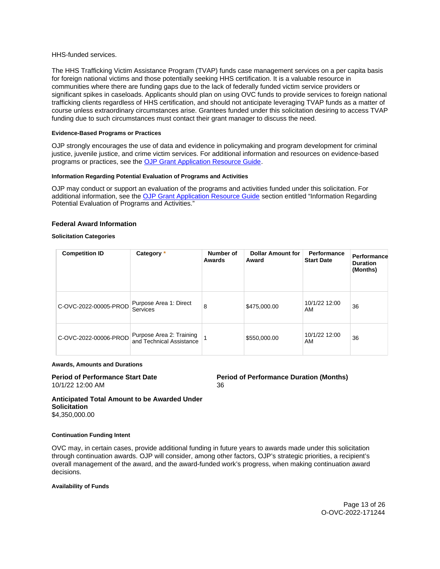#### <span id="page-13-0"></span>HHS-funded services.

The HHS Trafficking Victim Assistance Program (TVAP) funds case management services on a per capita basis for foreign national victims and those potentially seeking HHS certification. It is a valuable resource in communities where there are funding gaps due to the lack of federally funded victim service providers or significant spikes in caseloads. Applicants should plan on using OVC funds to provide services to foreign national trafficking clients regardless of HHS certification, and should not anticipate leveraging TVAP funds as a matter of course unless extraordinary circumstances arise. Grantees funded under this solicitation desiring to access TVAP funding due to such circumstances must contact their grant manager to discuss the need.

## **Evidence-Based Programs or Practices**

OJP strongly encourages the use of data and evidence in policymaking and program development for criminal justice, juvenile justice, and crime victim services. For additional information and resources on evidence-based programs or practices, see the [OJP Grant Application Resource Guide.](https://www.ojp.gov/funding/apply/ojp-grant-application-resource-guide#evidence-based)

#### **Information Regarding Potential Evaluation of Programs and Activities**

OJP may conduct or support an evaluation of the programs and activities funded under this solicitation. For additional information, see the [OJP Grant Application Resource Guide](https://www.ojp.gov/funding/apply/ojp-grant-application-resource-guide#potential-evaluation) section entitled "Information Regarding Potential Evaluation of Programs and Activities."

## **Federal Award Information**

#### **Solicitation Categories**

| <b>Competition ID</b> | Category *                                           | Number of<br>Awards | <b>Dollar Amount for</b><br>Award | Performance<br><b>Start Date</b> | Performance<br><b>Duration</b><br>(Months) |
|-----------------------|------------------------------------------------------|---------------------|-----------------------------------|----------------------------------|--------------------------------------------|
| C-OVC-2022-00005-PROD | Purpose Area 1: Direct<br>Services                   | 8                   | \$475,000.00                      | 10/1/22 12:00<br>AM              | 36                                         |
| C-OVC-2022-00006-PROD | Purpose Area 2: Training<br>and Technical Assistance |                     | \$550,000.00                      | 10/1/22 12:00<br>AM              | 36                                         |

## **Awards, Amounts and Durations**

# 10/1/22 12:00 AM 36

**Period of Performance Start Date**  Period of Performance Duration (Months)

**Anticipated Total Amount to be Awarded Under Solicitation** 

\$4,350,000.00

## **Continuation Funding Intent**

OVC may, in certain cases, provide additional funding in future years to awards made under this solicitation through continuation awards. OJP will consider, among other factors, OJP's strategic priorities, a recipient's overall management of the award, and the award-funded work's progress, when making continuation award decisions.

**Availability of Funds** 

Page 13 of 26 O-OVC-2022-171244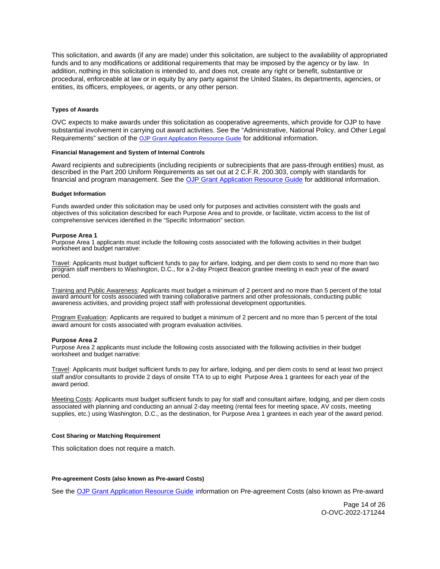<span id="page-14-0"></span>This solicitation, and awards (if any are made) under this solicitation, are subject to the availability of appropriated funds and to any modifications or additional requirements that may be imposed by the agency or by law. In addition, nothing in this solicitation is intended to, and does not, create any right or benefit, substantive or procedural, enforceable at law or in equity by any party against the United States, its departments, agencies, or entities, its officers, employees, or agents, or any other person.

#### **Types of Awards**

OVC expects to make awards under this solicitation as cooperative agreements, which provide for OJP to have substantial involvement in carrying out award activities. See the "Administrative, National Policy, and Other Legal Requirements" section of the [OJP Grant Application Resource Guide](https://www.ojp.gov/funding/apply/ojp-grant-application-resource-guide#administrative) for additional information.

#### **Financial Management and System of Internal Controls**

Award recipients and subrecipients (including recipients or subrecipients that are pass-through entities) must, as described in the Part 200 Uniform Requirements as set out at 2 C.F.R. 200.303, comply with standards for financial and program management. See the [OJP Grant Application Resource Guide](https://www.ojp.gov/funding/apply/ojp-grant-application-resource-guide#fm-internal-controls) for additional information.

#### **Budget Information**

Funds awarded under this solicitation may be used only for purposes and activities consistent with the goals and objectives of this solicitation described for each Purpose Area and to provide, or facilitate, victim access to the list of comprehensive services identified in the "Specific Information" section.

#### **Purpose Area 1**

Purpose Area 1 applicants must include the following costs associated with the following activities in their budget worksheet and budget narrative:

Travel: Applicants must budget sufficient funds to pay for airfare, lodging, and per diem costs to send no more than two program staff members to Washington, D.C., for a 2-day Project Beacon grantee meeting in each year of the award period.

Training and Public Awareness: Applicants must budget a minimum of 2 percent and no more than 5 percent of the total award amount for costs associated with training collaborative partners and other professionals, conducting public awareness activities, and providing project staff with professional development opportunities.

Program Evaluation: Applicants are required to budget a minimum of 2 percent and no more than 5 percent of the total award amount for costs associated with program evaluation activities.

#### **Purpose Area 2**

Purpose Area 2 applicants must include the following costs associated with the following activities in their budget worksheet and budget narrative:

Travel: Applicants must budget sufficient funds to pay for airfare, lodging, and per diem costs to send at least two project staff and/or consultants to provide 2 days of onsite TTA to up to eight Purpose Area 1 grantees for each year of the award period.

Meeting Costs: Applicants must budget sufficient funds to pay for staff and consultant airfare, lodging, and per diem costs associated with planning and conducting an annual 2-day meeting (rental fees for meeting space, AV costs, meeting supplies, etc.) using Washington, D.C., as the destination, for Purpose Area 1 grantees in each year of the award period.

#### **Cost Sharing or Matching Requirement**

This solicitation does not require a match.

#### **Pre-agreement Costs (also known as Pre-award Costs)**

See the [OJP Grant Application Resource Guide](https://www.ojp.gov/funding/apply/ojp-grant-application-resource-guide#pre-agreement-costs) information on Pre-agreement Costs (also known as Pre-award

Page 14 of 26 O-OVC-2022-171244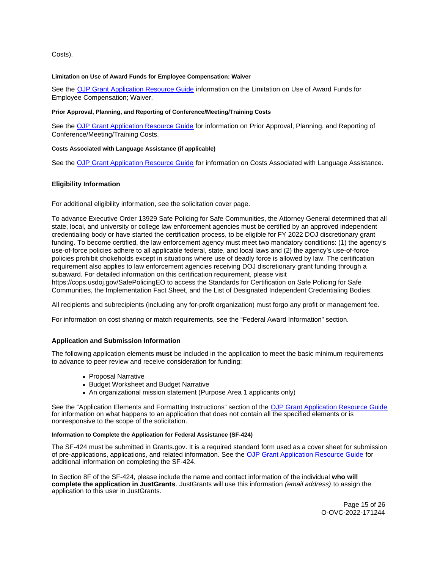<span id="page-15-0"></span>Costs).

#### **Limitation on Use of Award Funds for Employee Compensation: Waiver**

See the [OJP Grant Application Resource Guide](https://www.ojp.gov/funding/apply/ojp-grant-application-resource-guide#limitation-use-award) information on the Limitation on Use of Award Funds for Employee Compensation; Waiver.

#### **Prior Approval, Planning, and Reporting of Conference/Meeting/Training Costs**

See the [OJP Grant Application Resource Guide](https://www.ojp.gov/funding/apply/ojp-grant-application-resource-guide#prior-approval) for information on Prior Approval, Planning, and Reporting of Conference/Meeting/Training Costs.

#### **Costs Associated with Language Assistance (if applicable)**

See the [OJP Grant Application Resource Guide](https://www.ojp.gov/funding/apply/ojp-grant-application-resource-guide#costs-associated) for information on Costs Associated with Language Assistance.

## **Eligibility Information**

For additional eligibility information, see the solicitation cover page.

To advance Executive Order 13929 Safe Policing for Safe Communities, the Attorney General determined that all state, local, and university or college law enforcement agencies must be certified by an approved independent credentialing body or have started the certification process, to be eligible for FY 2022 DOJ discretionary grant funding. To become certified, the law enforcement agency must meet two mandatory conditions: (1) the agency's use-of-force policies adhere to all applicable federal, state, and local laws and (2) the agency's use-of-force policies prohibit chokeholds except in situations where use of deadly force is allowed by law. The certification requirement also applies to law enforcement agencies receiving DOJ discretionary grant funding through a subaward. For detailed information on this certification requirement, please visit

<https://cops.usdoj.gov/SafePolicingEO> to access the Standards for Certification on Safe Policing for Safe Communities, the Implementation Fact Sheet, and the List of Designated Independent Credentialing Bodies.

All recipients and subrecipients (including any for-profit organization) must forgo any profit or management fee.

For information on cost sharing or match requirements, see the "Federal Award Information" section.

## **Application and Submission Information**

The following application elements **must** be included in the application to meet the basic minimum requirements to advance to peer review and receive consideration for funding:

- Proposal Narrative
- Budget Worksheet and Budget Narrative
- An organizational mission statement (Purpose Area 1 applicants only)

See the "Application Elements and Formatting Instructions" section of the OJP Grant Application Resource Guide for information on what happens to an application that does not contain all the specified elements or is nonresponsive to the scope of the solicitation.

## **Information to Complete the Application for Federal Assistance (SF-424)**

The SF-424 must be submitted in [Grants.gov](https://Grants.gov). It is a required standard form used as a cover sheet for submission of pre-applications, applications, and related information. See the [OJP Grant Application Resource Guide](https://www.ojp.gov/funding/Apply/Resources/Grant-App-Resource-Guide.htm) for additional information on completing the SF-424.

In Section 8F of the SF-424, please include the name and contact information of the individual **who will complete the application in JustGrants**. JustGrants will use this information (email address) to assign the application to this user in JustGrants.

> Page 15 of 26 O-OVC-2022-171244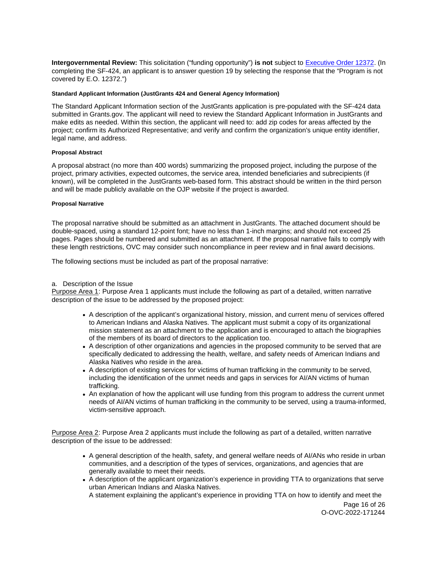<span id="page-16-0"></span>**Intergovernmental Review:** This solicitation ("funding opportunity") **is not** subject to [Executive Order 12372.](https://www.archives.gov/federal-register/codification/executive-order/12372.html) (In completing the SF-424, an applicant is to answer question 19 by selecting the response that the "Program is not covered by E.O. 12372.")

## **Standard Applicant Information (JustGrants 424 and General Agency Information)**

The Standard Applicant Information section of the JustGrants application is pre-populated with the SF-424 data submitted in [Grants.gov.](https://Grants.gov) The applicant will need to review the Standard Applicant Information in JustGrants and make edits as needed. Within this section, the applicant will need to: add zip codes for areas affected by the project; confirm its Authorized Representative; and verify and confirm the organization's unique entity identifier, legal name, and address.

#### **Proposal Abstract**

A proposal abstract (no more than 400 words) summarizing the proposed project, including the purpose of the project, primary activities, expected outcomes, the service area, intended beneficiaries and subrecipients (if known), will be completed in the JustGrants web-based form. This abstract should be written in the third person and will be made publicly available on the OJP website if the project is awarded.

#### **Proposal Narrative**

The proposal narrative should be submitted as an attachment in JustGrants. The attached document should be double-spaced, using a standard 12-point font; have no less than 1-inch margins; and should not exceed 25 pages. Pages should be numbered and submitted as an attachment. If the proposal narrative fails to comply with these length restrictions, OVC may consider such noncompliance in peer review and in final award decisions.

The following sections must be included as part of the proposal narrative:

#### a. Description of the Issue

Purpose Area 1: Purpose Area 1 applicants must include the following as part of a detailed, written narrative description of the issue to be addressed by the proposed project:

- A description of the applicant's organizational history, mission, and current menu of services offered to American Indians and Alaska Natives. The applicant must submit a copy of its organizational mission statement as an attachment to the application and is encouraged to attach the biographies of the members of its board of directors to the application too.
- A description of other organizations and agencies in the proposed community to be served that are specifically dedicated to addressing the health, welfare, and safety needs of American Indians and Alaska Natives who reside in the area.
- A description of existing services for victims of human trafficking in the community to be served, including the identification of the unmet needs and gaps in services for AI/AN victims of human trafficking.
- An explanation of how the applicant will use funding from this program to address the current unmet needs of AI/AN victims of human trafficking in the community to be served, using a trauma-informed, victim-sensitive approach.

Purpose Area 2: Purpose Area 2 applicants must include the following as part of a detailed, written narrative description of the issue to be addressed:

- A general description of the health, safety, and general welfare needs of AI/ANs who reside in urban communities, and a description of the types of services, organizations, and agencies that are generally available to meet their needs.
- A description of the applicant organization's experience in providing TTA to organizations that serve urban American Indians and Alaska Natives. A statement explaining the applicant's experience in providing TTA on how to identify and meet the

Page 16 of 26 O-OVC-2022-171244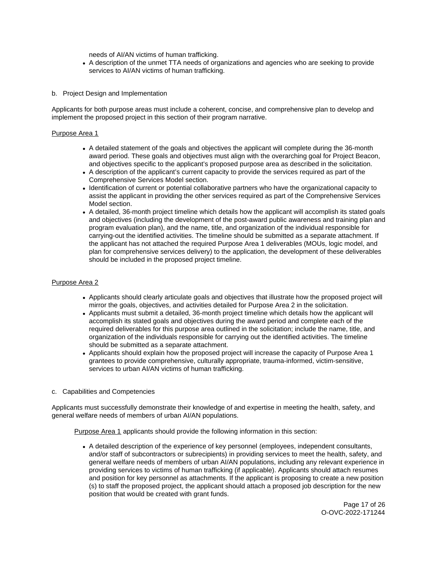needs of AI/AN victims of human trafficking.

- A description of the unmet TTA needs of organizations and agencies who are seeking to provide services to AI/AN victims of human trafficking.
- b. Project Design and Implementation

Applicants for both purpose areas must include a coherent, concise, and comprehensive plan to develop and implement the proposed project in this section of their program narrative.

## Purpose Area 1

- A detailed statement of the goals and objectives the applicant will complete during the 36-month award period. These goals and objectives must align with the overarching goal for Project Beacon, and objectives specific to the applicant's proposed purpose area as described in the solicitation.
- A description of the applicant's current capacity to provide the services required as part of the Comprehensive Services Model section.
- Identification of current or potential collaborative partners who have the organizational capacity to assist the applicant in providing the other services required as part of the Comprehensive Services Model section.
- A detailed, 36-month project timeline which details how the applicant will accomplish its stated goals and objectives (including the development of the post-award public awareness and training plan and program evaluation plan), and the name, title, and organization of the individual responsible for carrying-out the identified activities. The timeline should be submitted as a separate attachment. If the applicant has not attached the required Purpose Area 1 deliverables (MOUs, logic model, and plan for comprehensive services delivery) to the application, the development of these deliverables should be included in the proposed project timeline.

#### Purpose Area 2

- Applicants should clearly articulate goals and objectives that illustrate how the proposed project will mirror the goals, objectives, and activities detailed for Purpose Area 2 in the solicitation.
- Applicants must submit a detailed, 36-month project timeline which details how the applicant will accomplish its stated goals and objectives during the award period and complete each of the required deliverables for this purpose area outlined in the solicitation; include the name, title, and organization of the individuals responsible for carrying out the identified activities. The timeline should be submitted as a separate attachment.
- Applicants should explain how the proposed project will increase the capacity of Purpose Area 1 grantees to provide comprehensive, culturally appropriate, trauma-informed, victim-sensitive, services to urban AI/AN victims of human trafficking.
- c. Capabilities and Competencies

Applicants must successfully demonstrate their knowledge of and expertise in meeting the health, safety, and general welfare needs of members of urban AI/AN populations.

Purpose Area 1 applicants should provide the following information in this section:

A detailed description of the experience of key personnel (employees, independent consultants, and/or staff of subcontractors or subrecipients) in providing services to meet the health, safety, and general welfare needs of members of urban AI/AN populations, including any relevant experience in providing services to victims of human trafficking (if applicable). Applicants should attach resumes and position for key personnel as attachments. If the applicant is proposing to create a new position (s) to staff the proposed project, the applicant should attach a proposed job description for the new position that would be created with grant funds.

> Page 17 of 26 O-OVC-2022-171244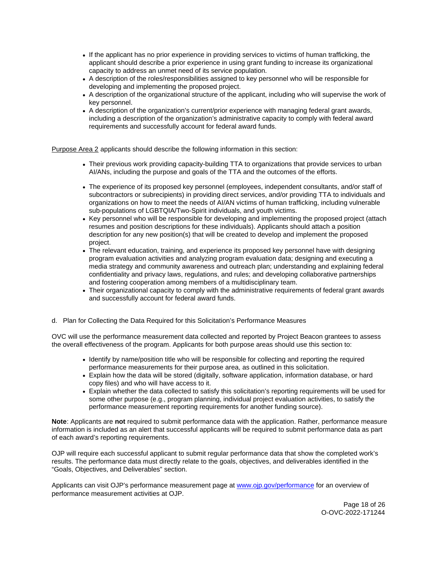- If the applicant has no prior experience in providing services to victims of human trafficking, the applicant should describe a prior experience in using grant funding to increase its organizational capacity to address an unmet need of its service population.
- A description of the roles/responsibilities assigned to key personnel who will be responsible for developing and implementing the proposed project.
- A description of the organizational structure of the applicant, including who will supervise the work of key personnel.
- A description of the organization's current/prior experience with managing federal grant awards, including a description of the organization's administrative capacity to comply with federal award requirements and successfully account for federal award funds.

Purpose Area 2 applicants should describe the following information in this section:

- Their previous work providing capacity-building TTA to organizations that provide services to urban AI/ANs, including the purpose and goals of the TTA and the outcomes of the efforts.
- The experience of its proposed key personnel (employees, independent consultants, and/or staff of subcontractors or subrecipients) in providing direct services, and/or providing TTA to individuals and organizations on how to meet the needs of AI/AN victims of human trafficking, including vulnerable sub-populations of LGBTQIA/Two-Spirit individuals, and youth victims.
- Key personnel who will be responsible for developing and implementing the proposed project (attach resumes and position descriptions for these individuals). Applicants should attach a position description for any new position(s) that will be created to develop and implement the proposed project.
- The relevant education, training, and experience its proposed key personnel have with designing program evaluation activities and analyzing program evaluation data; designing and executing a media strategy and community awareness and outreach plan; understanding and explaining federal confidentiality and privacy laws, regulations, and rules; and developing collaborative partnerships and fostering cooperation among members of a multidisciplinary team.
- Their organizational capacity to comply with the administrative requirements of federal grant awards and successfully account for federal award funds.
- d. Plan for Collecting the Data Required for this Solicitation's Performance Measures

OVC will use the performance measurement data collected and reported by Project Beacon grantees to assess the overall effectiveness of the program. Applicants for both purpose areas should use this section to:

- Identify by name/position title who will be responsible for collecting and reporting the required performance measurements for their purpose area, as outlined in this solicitation.
- Explain how the data will be stored (digitally, software application, information database, or hard copy files) and who will have access to it.
- Explain whether the data collected to satisfy this solicitation's reporting requirements will be used for some other purpose (e.g., program planning, individual project evaluation activities, to satisfy the performance measurement reporting requirements for another funding source).

**Note**: Applicants are **not** required to submit performance data with the application. Rather, performance measure information is included as an alert that successful applicants will be required to submit performance data as part of each award's reporting requirements.

OJP will require each successful applicant to submit regular performance data that show the completed work's results. The performance data must directly relate to the goals, objectives, and deliverables identified in the "Goals, Objectives, and Deliverables" section.

Applicants can visit OJP's performance measurement page at [www.ojp.gov/performance](https://www.ojp.gov/performance) for an overview of performance measurement activities at OJP.

> Page 18 of 26 O-OVC-2022-171244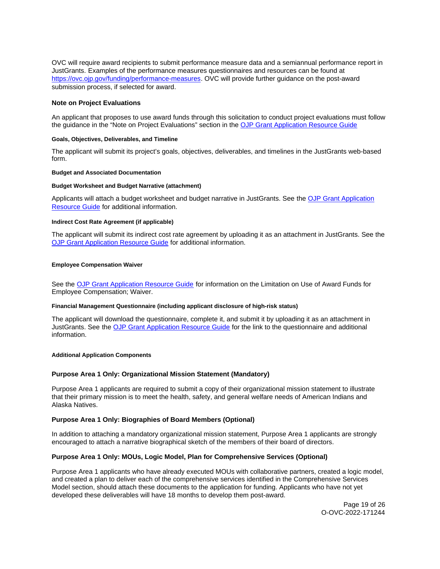<span id="page-19-0"></span>OVC will require award recipients to submit performance measure data and a semiannual performance report in JustGrants. Examples of the performance measures questionnaires and resources can be found at [https://ovc.ojp.gov/funding/performance-measures.](https://ovc.ojp.gov/funding/performance-measures) OVC will provide further guidance on the post-award submission process, if selected for award.

## **Note on Project Evaluations**

An applicant that proposes to use award funds through this solicitation to conduct project evaluations must follow the guidance in the "Note on Project Evaluations" section in the [OJP Grant Application Resource Guide](https://www.ojp.gov/funding/Apply/Resources/Grant-App-Resource-Guide.htm) 

#### **Goals, Objectives, Deliverables, and Timeline**

The applicant will submit its project's goals, objectives, deliverables, and timelines in the JustGrants web-based form.

#### **Budget and Associated Documentation**

#### **Budget Worksheet and Budget Narrative (attachment)**

Applicants will attach a budget worksheet and budget narrative in JustGrants. See the [OJP Grant Application](https://ojp.gov/funding/Apply/Resources/Grant-App-Resource-Guide.htm)  [Resource Guide](https://ojp.gov/funding/Apply/Resources/Grant-App-Resource-Guide.htm) for additional information.

#### **Indirect Cost Rate Agreement (if applicable)**

The applicant will submit its indirect cost rate agreement by uploading it as an attachment in JustGrants. See the [OJP Grant Application Resource Guide](https://www.ojp.gov/funding/apply/ojp-grant-application-resource-guide#indirect-cost) for additional information.

#### **Employee Compensation Waiver**

See the [OJP Grant Application Resource Guide](https://www.ojp.gov/funding/apply/ojp-grant-application-resource-guide#limitation-use-award) for information on the Limitation on Use of Award Funds for Employee Compensation; Waiver.

#### **Financial Management Questionnaire (including applicant disclosure of high-risk status)**

The applicant will download the questionnaire, complete it, and submit it by uploading it as an attachment in JustGrants. See the [OJP Grant Application Resource Guide](https://www.ojp.gov/funding/apply/ojp-grant-application-resource-guide#fm-internal-controls-questionnaire) for the link to the questionnaire and additional information.

#### **Additional Application Components**

#### **Purpose Area 1 Only: Organizational Mission Statement (Mandatory)**

Purpose Area 1 applicants are required to submit a copy of their organizational mission statement to illustrate that their primary mission is to meet the health, safety, and general welfare needs of American Indians and Alaska Natives.

## **Purpose Area 1 Only: Biographies of Board Members (Optional)**

In addition to attaching a mandatory organizational mission statement, Purpose Area 1 applicants are strongly encouraged to attach a narrative biographical sketch of the members of their board of directors.

#### **Purpose Area 1 Only: MOUs, Logic Model, Plan for Comprehensive Services (Optional)**

Purpose Area 1 applicants who have already executed MOUs with collaborative partners, created a logic model, and created a plan to deliver each of the comprehensive services identified in the Comprehensive Services Model section, should attach these documents to the application for funding. Applicants who have not yet developed these deliverables will have 18 months to develop them post-award.

> Page 19 of 26 O-OVC-2022-171244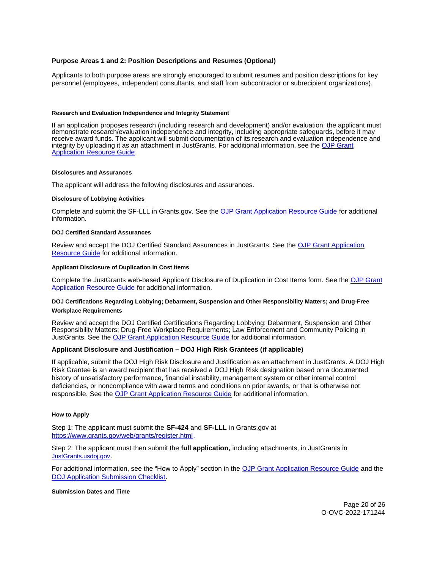## <span id="page-20-0"></span>**Purpose Areas 1 and 2: Position Descriptions and Resumes (Optional)**

Applicants to both purpose areas are strongly encouraged to submit resumes and position descriptions for key personnel (employees, independent consultants, and staff from subcontractor or subrecipient organizations).

#### **Research and Evaluation Independence and Integrity Statement**

If an application proposes research (including research and development) and/or evaluation, the applicant must demonstrate research/evaluation independence and integrity, including appropriate safeguards, before it may receive award funds. The applicant will submit documentation of its research and evaluation independence and integrity by uploading it as an attachment in JustGrants. For additional information, see the [OJP Grant](https://www.ojp.gov/funding/apply/ojp-grant-application-resource-guide#research-evaluation)  [Application Resource Guide.](https://www.ojp.gov/funding/apply/ojp-grant-application-resource-guide#research-evaluation)

#### **Disclosures and Assurances**

The applicant will address the following disclosures and assurances.

#### **Disclosure of Lobbying Activities**

Complete and submit the SF-LLL in [Grants.gov.](https://Grants.gov) See the [OJP Grant Application Resource Guide](https://www.ojp.gov/funding/apply/ojp-grant-application-resource-guide#disclosure-lobby) for additional information.

#### **DOJ Certified Standard Assurances**

Review and accept the DOJ Certified Standard Assurances in JustGrants. See the OJP Grant Application [Resource Guide](https://www.ojp.gov/funding/apply/ojp-grant-application-resource-guide#administrative) for additional information.

#### **Applicant Disclosure of Duplication in Cost Items**

Complete the JustGrants web-based Applicant Disclosure of Duplication in Cost Items form. See the [OJP Grant](https://www.ojp.gov/funding/apply/ojp-grant-application-resource-guide#applicant-disclosure-pending-applications)  [Application Resource Guide](https://www.ojp.gov/funding/apply/ojp-grant-application-resource-guide#applicant-disclosure-pending-applications) for additional information.

## **DOJ Certifications Regarding Lobbying; Debarment, Suspension and Other Responsibility Matters; and Drug-Free Workplace Requirements**

Review and accept the DOJ Certified Certifications Regarding Lobbying; Debarment, Suspension and Other Responsibility Matters; Drug-Free Workplace Requirements; Law Enforcement and Community Policing in JustGrants. See the [OJP Grant Application Resource Guide](https://www.ojp.gov/funding/apply/ojp-grant-application-resource-guide#administrative) for additional information.

#### **Applicant Disclosure and Justification – DOJ High Risk Grantees (if applicable)**

If applicable, submit the DOJ High Risk Disclosure and Justification as an attachment in JustGrants. A DOJ High Risk Grantee is an award recipient that has received a DOJ High Risk designation based on a documented history of unsatisfactory performance, financial instability, management system or other internal control deficiencies, or noncompliance with award terms and conditions on prior awards, or that is otherwise not responsible. See the [OJP Grant Application Resource Guide](https://www.ojp.gov/funding/apply/ojp-grant-application-resource-guide#administrative) for additional information.

#### **How to Apply**

Step 1: The applicant must submit the **SF-424** and **SF-LLL** in [Grants.gov](https://Grants.gov) at [https://www.grants.gov/web/grants/register.html.](https://www.grants.gov/web/grants/register.html)

Step 2: The applicant must then submit the **full application,** including attachments, in JustGrants in [JustGrants.usdoj.gov.](https://justicegrants.usdoj.gov/)

For additional information, see the "How to Apply" section in the [OJP Grant Application Resource Guide](https://www.ojp.gov/funding/apply/ojp-grant-application-resource-guide#apply) and the [DOJ Application Submission Checklist.](https://justicegrants.usdoj.gov/sites/g/files/xyckuh296/files/media/document/appln-submission-checklist.pdf)

#### **Submission Dates and Time**

Page 20 of 26 O-OVC-2022-171244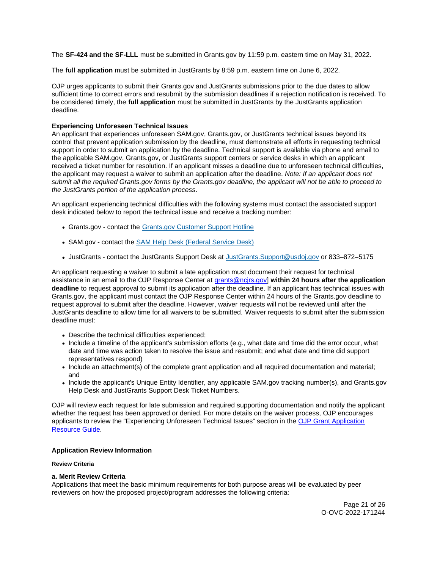<span id="page-21-0"></span>The **SF-424 and the SF-LLL** must be submitted in [Grants.gov](https://Grants.gov) by 11:59 p.m. eastern time on May 31, 2022.

The **full application** must be submitted in JustGrants by 8:59 p.m. eastern time on June 6, 2022.

OJP urges applicants to submit their [Grants.gov](https://Grants.gov) and JustGrants submissions prior to the due dates to allow sufficient time to correct errors and resubmit by the submission deadlines if a rejection notification is received. To be considered timely, the **full application** must be submitted in JustGrants by the JustGrants application deadline.

## **Experiencing Unforeseen Technical Issues**

An applicant that experiences unforeseen SAM.gov, [Grants.gov,](https://Grants.gov) or JustGrants technical issues beyond its control that prevent application submission by the deadline, must demonstrate all efforts in requesting technical support in order to submit an application by the deadline. Technical support is available via phone and email to the applicable SAM.gov, [Grants.gov,](https://Grants.gov) or JustGrants support centers or service desks in which an applicant received a ticket number for resolution. If an applicant misses a deadline due to unforeseen technical difficulties, the applicant may request a waiver to submit an application after the deadline. Note: If an applicant does not submit all the required [Grants.gov](https://Grants.gov) forms by the [Grants.gov](https://Grants.gov) deadline, the applicant will not be able to proceed to the JustGrants portion of the application process.

An applicant experiencing technical difficulties with the following systems must contact the associated support desk indicated below to report the technical issue and receive a tracking number:

- [Grants.gov](https://Grants.gov)  contact the [Grants.gov Customer Support Hotline](https://www.grants.gov/web/grants/support.html)
- SAM.gov contact the [SAM Help Desk \(Federal Service Desk\)](https://www.fsd.gov/gsafsd_sp)
- JustGrants contact the JustGrants Support Desk at [JustGrants.Support@usdoj.gov](mailto:JustGrants.Support@usdoj.gov) or 833–872–5175

An applicant requesting a waiver to submit a late application must document their request for technical assistance in an email to the OJP Response Center at [grants@ncjrs.gov\]](file:///C:/Users/local_Yehj/INetCache/Content.Outlook/20U4XBR7/grants@ncjrs.gov) **within 24 hours after the application deadline** to request approval to submit its application after the deadline. If an applicant has technical issues with [Grants.gov,](https://Grants.gov) the applicant must contact the OJP Response Center within 24 hours of the [Grants.gov](https://Grants.gov) deadline to request approval to submit after the deadline. However, waiver requests will not be reviewed until after the JustGrants deadline to allow time for all waivers to be submitted. Waiver requests to submit after the submission deadline must:

- Describe the technical difficulties experienced;
- Include a timeline of the applicant's submission efforts (e.g., what date and time did the error occur, what date and time was action taken to resolve the issue and resubmit; and what date and time did support representatives respond)
- Include an attachment(s) of the complete grant application and all required documentation and material; and
- Include the applicant's Unique Entity Identifier, any applicable SAM.gov tracking number(s), and [Grants.gov](https://Grants.gov) Help Desk and JustGrants Support Desk Ticket Numbers.

OJP will review each request for late submission and required supporting documentation and notify the applicant whether the request has been approved or denied. For more details on the waiver process, OJP encourages applicants to review the "Experiencing Unforeseen Technical Issues" section in the [OJP Grant Application](https://www.ojp.gov/funding/apply/ojp-grant-application-resource-guide#experiencing-unforeseen-technical-issues)  [Resource Guide](https://www.ojp.gov/funding/apply/ojp-grant-application-resource-guide#experiencing-unforeseen-technical-issues).

## **Application Review Information**

## **Review Criteria**

## **a. Merit Review Criteria**

Applications that meet the basic minimum requirements for both purpose areas will be evaluated by peer reviewers on how the proposed project/program addresses the following criteria:

> Page 21 of 26 O-OVC-2022-171244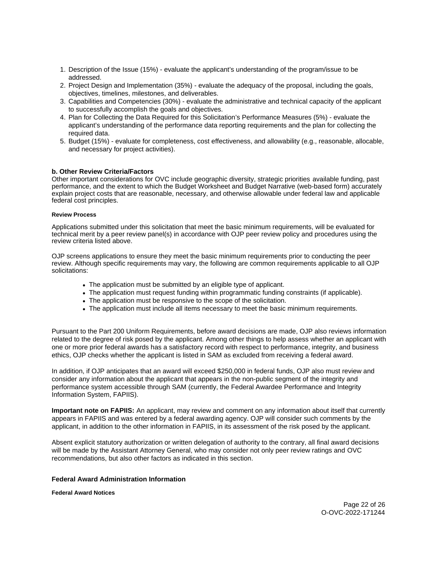- <span id="page-22-0"></span>1. Description of the Issue (15%) - evaluate the applicant's understanding of the program/issue to be addressed.
- 2. Project Design and Implementation (35%) evaluate the adequacy of the proposal, including the goals, objectives, timelines, milestones, and deliverables.
- 3. Capabilities and Competencies (30%) evaluate the administrative and technical capacity of the applicant to successfully accomplish the goals and objectives.
- 4. Plan for Collecting the Data Required for this Solicitation's Performance Measures (5%) evaluate the applicant's understanding of the performance data reporting requirements and the plan for collecting the required data.
- 5. Budget (15%) evaluate for completeness, cost effectiveness, and allowability (e.g., reasonable, allocable, and necessary for project activities).

## **b. Other Review Criteria/Factors**

Other important considerations for OVC include geographic diversity, strategic priorities available funding, past performance, and the extent to which the Budget Worksheet and Budget Narrative (web-based form) accurately explain project costs that are reasonable, necessary, and otherwise allowable under federal law and applicable federal cost principles.

#### **Review Process**

Applications submitted under this solicitation that meet the basic minimum requirements, will be evaluated for technical merit by a peer review panel(s) in accordance with OJP peer review policy and procedures using the review criteria listed above.

OJP screens applications to ensure they meet the basic minimum requirements prior to conducting the peer review. Although specific requirements may vary, the following are common requirements applicable to all OJP solicitations:

- The application must be submitted by an eligible type of applicant.
- The application must request funding within programmatic funding constraints (if applicable).
- The application must be responsive to the scope of the solicitation.
- The application must include all items necessary to meet the basic minimum requirements.

Pursuant to the Part 200 Uniform Requirements, before award decisions are made, OJP also reviews information related to the degree of risk posed by the applicant. Among other things to help assess whether an applicant with one or more prior federal awards has a satisfactory record with respect to performance, integrity, and business ethics, OJP checks whether the applicant is listed in SAM as excluded from receiving a federal award.

In addition, if OJP anticipates that an award will exceed \$250,000 in federal funds, OJP also must review and consider any information about the applicant that appears in the non-public segment of the integrity and performance system accessible through SAM (currently, the Federal Awardee Performance and Integrity Information System, FAPIIS).

**Important note on FAPIIS:** An applicant, may review and comment on any information about itself that currently appears in FAPIIS and was entered by a federal awarding agency. OJP will consider such comments by the applicant, in addition to the other information in FAPIIS, in its assessment of the risk posed by the applicant.

Absent explicit statutory authorization or written delegation of authority to the contrary, all final award decisions will be made by the Assistant Attorney General, who may consider not only peer review ratings and OVC recommendations, but also other factors as indicated in this section.

## **Federal Award Administration Information**

**Federal Award Notices** 

Page 22 of 26 O-OVC-2022-171244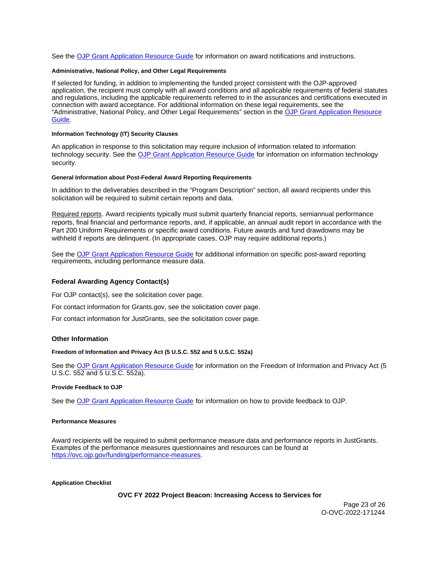<span id="page-23-0"></span>See the [OJP Grant Application Resource Guide](https://www.ojp.gov/funding/apply/ojp-grant-application-resource-guide#federal-award-notices) for information on award notifications and instructions.

#### **Administrative, National Policy, and Other Legal Requirements**

If selected for funding, in addition to implementing the funded project consistent with the OJP-approved application, the recipient must comply with all award conditions and all applicable requirements of federal statutes and regulations, including the applicable requirements referred to in the assurances and certifications executed in connection with award acceptance. For additional information on these legal requirements, see the "Administrative, National Policy, and Other Legal Requirements" section in the [OJP Grant Application Resource](https://www.ojp.gov/funding/apply/ojp-grant-application-resource-guide#administrative)  [Guide.](https://www.ojp.gov/funding/apply/ojp-grant-application-resource-guide#administrative)

#### **Information Technology (IT) Security Clauses**

An application in response to this solicitation may require inclusion of information related to information technology security. See the [OJP Grant Application Resource Guide](https://www.ojp.gov/funding/apply/ojp-grant-application-resource-guide#information-technology) for information on information technology security.

#### **General Information about Post-Federal Award Reporting Requirements**

In addition to the deliverables described in the "Program Description" section, all award recipients under this solicitation will be required to submit certain reports and data.

Required reports. Award recipients typically must submit quarterly financial reports, semiannual performance reports, final financial and performance reports, and, if applicable, an annual audit report in accordance with the Part 200 Uniform Requirements or specific award conditions. Future awards and fund drawdowns may be withheld if reports are delinquent. (In appropriate cases, OJP may require additional reports.)

See the [OJP Grant Application Resource Guide](https://www.ojp.gov/funding/Apply/Resources/Grant-App-Resource-Guide.htm) for additional information on specific post-award reporting requirements, including performance measure data.

#### **Federal Awarding Agency Contact(s)**

For OJP contact(s), see the solicitation cover page.

For contact information for [Grants.gov](https://Grants.gov), see the solicitation cover page.

For contact information for JustGrants, see the solicitation cover page.

#### **Other Information**

#### **Freedom of Information and Privacy Act (5 U.S.C. 552 and 5 U.S.C. 552a)**

See the [OJP Grant Application Resource Guide](https://www.ojp.gov/funding/apply/ojp-grant-application-resource-guide#foia) for information on the Freedom of Information and Privacy Act (5 U.S.C. 552 and 5 U.S.C. 552a).

#### **Provide Feedback to OJP**

See the [OJP Grant Application Resource Guide](https://www.ojp.gov/funding/apply/ojp-grant-application-resource-guide#feedback) for information on how to provide feedback to OJP.

#### **Performance Measures**

Award recipients will be required to submit performance measure data and performance reports in JustGrants. Examples of the performance measures questionnaires and resources can be found at [https://ovc.ojp.gov/funding/performance-measures.](https://ovc.ojp.gov/funding/performance-measures)

**Application Checklist** 

## **OVC FY 2022 Project Beacon: Increasing Access to Services for**

Page 23 of 26 O-OVC-2022-171244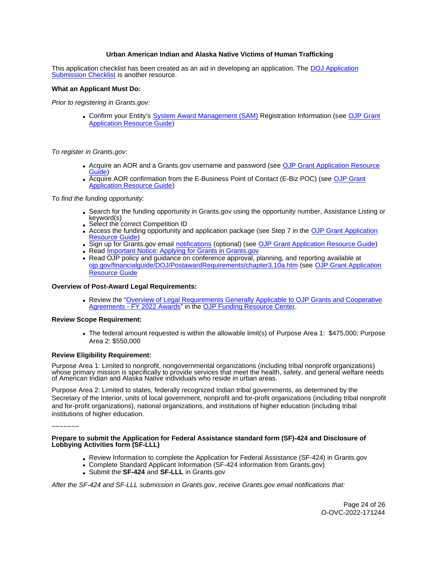## **Urban American Indian and Alaska Native Victims of Human Trafficking**

This application checklist has been created as an aid in developing an application. The [DOJ Application](https://justicegrants.usdoj.gov/sites/g/files/xyckuh296/files/media/document/appln-submission-checklist.pdf)  [Submission Checklist](https://justicegrants.usdoj.gov/sites/g/files/xyckuh296/files/media/document/appln-submission-checklist.pdf) is another resource.

#### **What an Applicant Must Do:**

Prior to registering in [Grants.gov](https://Grants.gov):

Confirm your Entity's [System Award Management \(SAM\)](https://sam.gov/SAM/) Registration Information (see [OJP Grant](https://www.ojp.gov/funding/apply/ojp-grant-application-resource-guide#apply)  [Application Resource Guide\)](https://www.ojp.gov/funding/apply/ojp-grant-application-resource-guide#apply)

#### To register in [Grants.gov](https://Grants.gov):

- Acquire an AOR and a [Grants.gov](https://Grants.gov) username and password (see OJP Grant Application Resource [Guide\)](https://www.ojp.gov/funding/apply/ojp-grant-application-resource-guide#apply)
- Acquire AOR confirmation from the E-Business Point of Contact (E-Biz POC) (see OJP Grant [Application Resource Guide\)](https://www.ojp.gov/funding/apply/ojp-grant-application-resource-guide#apply)

To find the funding opportunity:

- Search for the funding opportunity in [Grants.gov](https://Grants.gov) using the opportunity number, Assistance Listing or keyword(s)
- Select the correct Competition ID
- Access the funding opportunity and application package (see Step 7 in the [OJP Grant Application](https://www.ojp.gov/funding/apply/ojp-grant-application-resource-guide#apply)  [Resource Guide\)](https://www.ojp.gov/funding/apply/ojp-grant-application-resource-guide#apply)
- Sign up for [Grants.gov](https://Grants.gov) email [notifications](https://www.grants.gov/web/grants/manage-subscriptions.html) (optional) (see [OJP Grant Application Resource Guide\)](https://www.ojp.gov/funding/apply/ojp-grant-application-resource-guide#apply)
- Read Important Notice: Applying for Grants in Grants.gov
- Read OJP policy and guidance on conference approval, planning, and reporting available at [ojp.gov/financialguide/DOJ/PostawardRequirements/chapter3.10a.htm](https://ojp.gov/financialguide/DOJ/PostawardRequirements/chapter3.10a.htm) (see [OJP Grant Application](https://www.ojp.gov/funding/apply/ojp-grant-application-resource-guide#prior-approval)  [Resource Guide](https://www.ojp.gov/funding/apply/ojp-grant-application-resource-guide#prior-approval)

## **Overview of Post-Award Legal Requirements:**

Review the "[Overview of Legal Requirements Generally Applicable to OJP Grants and Cooperative](https://www.ojp.gov/funding/explore/legal-overview-awards)  [Agreements - FY 2022 Awards"](https://www.ojp.gov/funding/explore/legal-overview-awards) in the [OJP Funding Resource Center.](https://www.ojp.gov/funding/explore/legal-overview-awards)

#### **Review Scope Requirement:**

The federal amount requested is within the allowable limit(s) of Purpose Area 1: \$475,000; Purpose Area 2: \$550,000

## **Review Eligibility Requirement:**

Purpose Area 1: Limited to nonprofit, nongovernmental organizations (including tribal nonprofit organizations) whose primary mission is specifically to provide services that meet the health, safety, and general welfare needs of American Indian and Alaska Native individuals who reside in urban areas.

Purpose Area 2: Limited to states, federally recognized Indian tribal governments, as determined by the Secretary of the Interior, units of local government, nonprofit and for-profit organizations (including tribal nonprofit and for-profit organizations), national organizations, and institutions of higher education (including tribal institutions of higher education.

~~~~~~~

#### **Prepare to submit the Application for Federal Assistance standard form (SF)-424 and Disclosure of Lobbying Activities form (SF-LLL)**

- Review Information to complete the Application for Federal Assistance (SF-424) in [Grants.gov](https://Grants.gov)
- Complete Standard Applicant Information (SF-424 information from [Grants.gov\)](https://Grants.gov)
- Submit the **SF-424** and **SF-LLL** in [Grants.gov](https://Grants.gov)

After the SF-424 and SF-LLL submission in [Grants.gov](https://Grants.gov), receive [Grants.gov](https://Grants.gov) email notifications that:

Page 24 of 26 O-OVC-2022-171244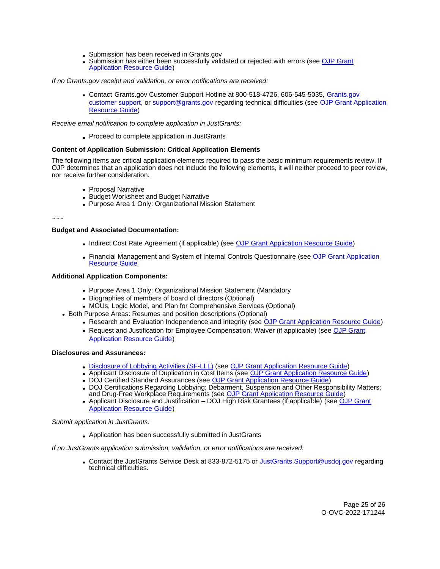- Submission has been received in [Grants.gov](https://Grants.gov)
- Submission has either been successfully validated or rejected with errors (see OJP Grant [Application Resource Guide\)](https://www.ojp.gov/funding/apply/ojp-grant-application-resource-guide#apply)

If no [Grants.gov](https://Grants.gov) receipt and validation, or error notifications are received:

Contact [Grants.gov](https://Grants.gov) Customer Support Hotline at 800-518-4726, 606-545-5035, [Grants.gov](https://www.grants.gov/web/grants/support.html)  [customer support,](https://www.grants.gov/web/grants/support.html) or [support@grants.gov](mailto:support@grants.gov) regarding technical difficulties (see OJP Grant Application [Resource Guide\)](https://www.ojp.gov/funding/apply/ojp-grant-application-resource-guide#apply)

Receive email notification to complete application in JustGrants:

Proceed to complete application in JustGrants

#### **Content of Application Submission: Critical Application Elements**

The following items are critical application elements required to pass the basic minimum requirements review. If OJP determines that an application does not include the following elements, it will neither proceed to peer review, nor receive further consideration.

- Proposal Narrative
- **Budget Worksheet and Budget Narrative**
- Purpose Area 1 Only: Organizational Mission Statement

~~~

## **Budget and Associated Documentation:**

- Indirect Cost Rate Agreement (if applicable) (see [OJP Grant Application Resource Guide\)](https://www.ojp.gov/funding/apply/ojp-grant-application-resource-guide#indirect-cost)
- Financial Management and System of Internal Controls Questionnaire (see OJP Grant Application [Resource Guide](https://www.ojp.gov/funding/apply/ojp-grant-application-resource-guide#fm-internal-controls-questionnaire)

## **Additional Application Components:**

- Purpose Area 1 Only: Organizational Mission Statement (Mandatory
- Biographies of members of board of directors (Optional)
- MOUs, Logic Model, and Plan for Comprehensive Services (Optional)
- Both Purpose Areas: Resumes and position descriptions (Optional)
	- Research and Evaluation Independence and Integrity (see [OJP Grant Application Resource Guide\)](https://www.ojp.gov/funding/apply/ojp-grant-application-resource-guide#research-evaluation)
	- Request and Justification for Employee Compensation: Waiver (if applicable) (see OJP Grant [Application Resource Guide\)](https://www.ojp.gov/funding/apply/ojp-grant-application-resource-guide#limitation-use-award)

#### **Disclosures and Assurances:**

- [Disclosure of Lobbying Activities \(SF-LLL\)](https://ojp.gov/funding/Apply/Resources/Disclosure.pdf) (see [OJP Grant Application Resource Guide\)](https://www.ojp.gov/funding/apply/ojp-grant-application-resource-guide#disclosure-lobby)
- Applicant Disclosure of Duplication in Cost Items (see [OJP Grant Application Resource Guide\)](https://www.ojp.gov/funding/apply/ojp-grant-application-resource-guide#applicant-disclosure-pending-applications)
- DOJ Certified Standard Assurances (see [OJP Grant Application Resource Guide\)](https://www.ojp.gov/funding/apply/ojp-grant-application-resource-guide#administrative)
- DOJ Certifications Regarding Lobbying; Debarment, Suspension and Other Responsibility Matters; and Drug-Free Workplace Requirements (see [OJP Grant Application Resource Guide\)](https://www.ojp.gov/funding/apply/ojp-grant-application-resource-guide#administrative)
- Applicant Disclosure and Justification DOJ High Risk Grantees (if applicable) (see OJP Grant [Application Resource Guide\)](https://www.ojp.gov/funding/apply/ojp-grant-application-resource-guide#applicant-disclosure-justification)

## Submit application in JustGrants:

Application has been successfully submitted in JustGrants

If no JustGrants application submission, validation, or error notifications are received:

• Contact the JustGrants Service Desk at 833-872-5175 or [JustGrants.Support@usdoj.gov](mailto:JustGrants.Support@usdoj.gov) regarding technical difficulties.